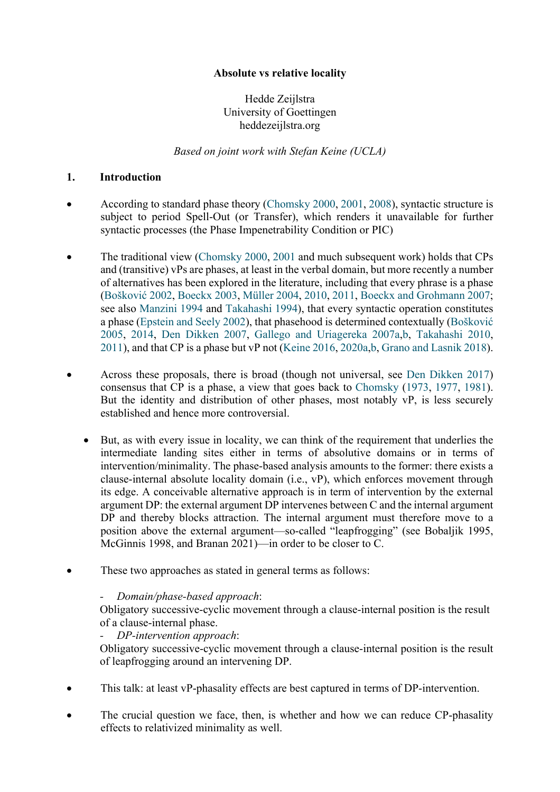## **Absolute vs relative locality**

Hedde Zeijlstra University of Goettingen heddezeijlstra.org

*Based on joint work with Stefan Keine (UCLA)*

#### **1. Introduction**

- According to standard phase theory (Chomsky 2000, 2001, 2008), syntactic structure is subject to period Spell-Out (or Transfer), which renders it unavailable for further syntactic processes (the Phase Impenetrability Condition or PIC)
- The traditional view (Chomsky 2000, 2001 and much subsequent work) holds that CPs and (transitive) vPs are phases, at least in the verbal domain, but more recently a number of alternatives has been explored in the literature, including that every phrase is a phase (Bošković 2002, Boeckx 2003, Müller 2004, 2010, 2011, Boeckx and Grohmann 2007; see also Manzini 1994 and Takahashi 1994), that every syntactic operation constitutes a phase (Epstein and Seely 2002), that phasehood is determined contextually (Bošković 2005, 2014, Den Dikken 2007, Gallego and Uriagereka 2007a,b, Takahashi 2010, 2011), and that CP is a phase but vP not (Keine 2016, 2020a,b, Grano and Lasnik 2018).
- Across these proposals, there is broad (though not universal, see Den Dikken 2017) consensus that CP is a phase, a view that goes back to Chomsky (1973, 1977, 1981). But the identity and distribution of other phases, most notably vP, is less securely established and hence more controversial.
	- But, as with every issue in locality, we can think of the requirement that underlies the intermediate landing sites either in terms of absolutive domains or in terms of intervention/minimality. The phase-based analysis amounts to the former: there exists a clause-internal absolute locality domain (i.e., vP), which enforces movement through its edge. A conceivable alternative approach is in term of intervention by the external argument DP: the external argument DP intervenes between C and the internal argument DP and thereby blocks attraction. The internal argument must therefore move to a position above the external argument—so-called "leapfrogging" (see Bobaljik 1995, McGinnis 1998, and Branan 2021)—in order to be closer to C.
- These two approaches as stated in general terms as follows:

### *- Domain/phase-based approach*:

Obligatory successive-cyclic movement through a clause-internal position is the result of a clause-internal phase.

*- DP-intervention approach*:

Obligatory successive-cyclic movement through a clause-internal position is the result of leapfrogging around an intervening DP.

- This talk: at least vP-phasality effects are best captured in terms of DP-intervention.
- The crucial question we face, then, is whether and how we can reduce CP-phasality effects to relativized minimality as well.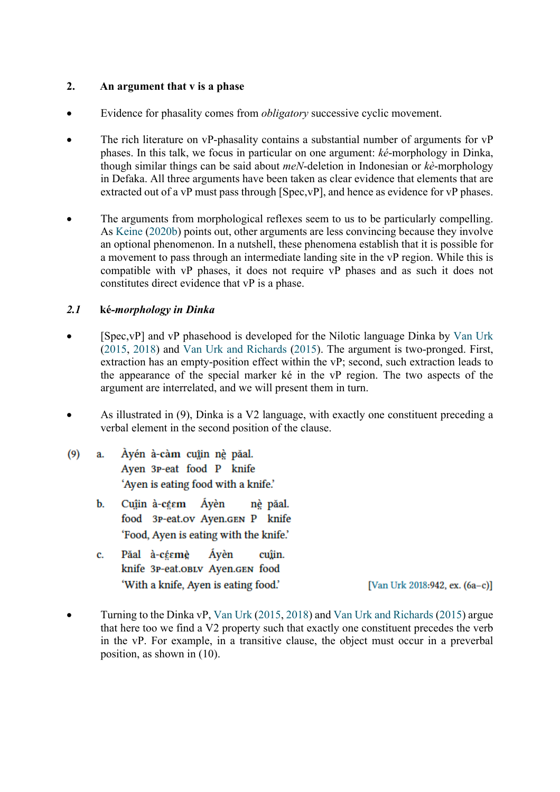#### **2. An argument that v is a phase**

- Evidence for phasality comes from *obligatory* successive cyclic movement.
- The rich literature on vP-phasality contains a substantial number of arguments for vP phases. In this talk, we focus in particular on one argument: *ké*-morphology in Dinka, though similar things can be said about *meN*-deletion in Indonesian or *kè*-morphology in Defaka. All three arguments have been taken as clear evidence that elements that are extracted out of a vP must pass through [Spec, vP], and hence as evidence for vP phases.
- The arguments from morphological reflexes seem to us to be particularly compelling. As Keine (2020b) points out, other arguments are less convincing because they involve an optional phenomenon. In a nutshell, these phenomena establish that it is possible for a movement to pass through an intermediate landing site in the vP region. While this is compatible with vP phases, it does not require vP phases and as such it does not constitutes direct evidence that vP is a phase.

### *2.1* **ké***-morphology in Dinka*

- [Spec,vP] and vP phasehood is developed for the Nilotic language Dinka by Van Urk (2015, 2018) and Van Urk and Richards (2015). The argument is two-pronged. First, extraction has an empty-position effect within the vP; second, such extraction leads to the appearance of the special marker ké in the vP region. The two aspects of the argument are interrelated, and we will present them in turn.
- As illustrated in (9), Dinka is a V2 language, with exactly one constituent preceding a verbal element in the second position of the clause.
- Àyén à-càm cuîin nè păal.  $(9)$ a. Ayen 3P-eat food P knife 'Ayen is eating food with a knife.'
	- Cuậin à-céem Ávèn  $\mathbf{b}$ . nè păal. food 3P-eat.ov Ayen.GEN P knife 'Food, Ayen is eating with the knife.'
	- Păal à-céemè Ávèn cuîin.  $\mathbf{c}$ . knife 3P-eat.oBLV Ayen.GEN food 'With a knife, Ayen is eating food.'

[Van Urk 2018:942, ex. (6a-c)]

• Turning to the Dinka vP, Van Urk (2015, 2018) and Van Urk and Richards (2015) argue that here too we find a V2 property such that exactly one constituent precedes the verb in the vP. For example, in a transitive clause, the object must occur in a preverbal position, as shown in (10).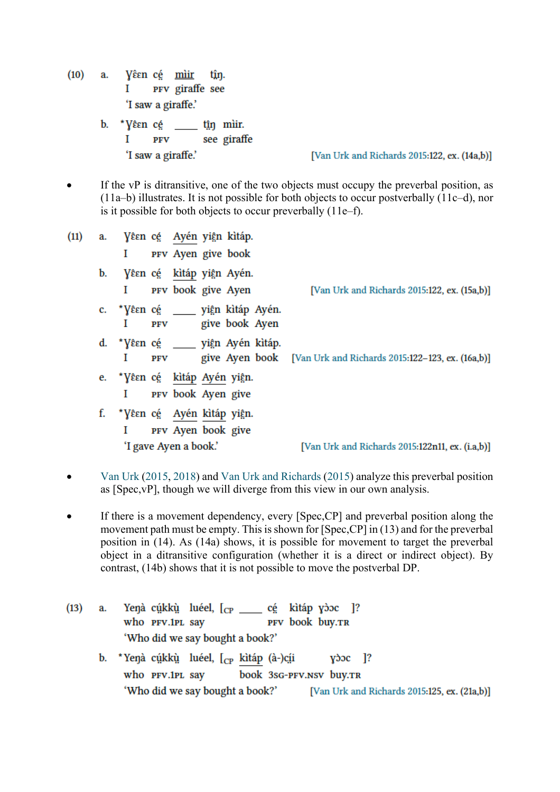- $(10)$ Vêεn c<u>é</u> mìir a. tîn. PFV giraffe see I 'I saw a giraffe.' tận mìir. b. \* Yêsneé see giraffe I PFV
	- 'I saw a giraffe.'

[Van Urk and Richards 2015:122, ex. (14a,b)]

• If the vP is ditransitive, one of the two objects must occupy the preverbal position, as (11a–b) illustrates. It is not possible for both objects to occur postverbally (11c–d), nor is it possible for both objects to occur preverbally (11e–f).

| (11)                  | a. | Vêen cé – Ayén yiện kìtáp.               |     |                    |  |  |                                                                 |
|-----------------------|----|------------------------------------------|-----|--------------------|--|--|-----------------------------------------------------------------|
|                       |    | I                                        |     | PFV Ayen give book |  |  |                                                                 |
|                       |    | b. Yêsn cé kìtáp yiện Ayén.              |     |                    |  |  |                                                                 |
|                       |    | L                                        |     | PFV book give Ayen |  |  | [Van Urk and Richards 2015:122, ex. (15a,b)]                    |
|                       |    | c. *Vêen cé _____ yiện kìtáp Ayén.<br>1. |     | PFV give book Ayen |  |  |                                                                 |
|                       |    | d. *Vêsn cé _____ yiện Ayén kìtáp.<br>L  | PFV |                    |  |  | give Ayen book [Van Urk and Richards 2015:122–123, ex. (16a,b)] |
|                       |    | e. *Vêsn cé kìtáp Ayén yiện.             |     |                    |  |  |                                                                 |
|                       |    | 1                                        |     | PFV book Ayen give |  |  |                                                                 |
|                       |    | f. * Vêsn cé Ayén kìtáp yiện.            |     |                    |  |  |                                                                 |
|                       |    | L                                        |     | PFV Ayen book give |  |  |                                                                 |
| 'I gave Ayen a book.' |    |                                          |     |                    |  |  | [Van Urk and Richards 2015:122n11, ex. (i.a,b)]                 |

- Van Urk (2015, 2018) and Van Urk and Richards (2015) analyze this preverbal position as [Spec,vP], though we will diverge from this view in our own analysis.
- If there is a movement dependency, every [Spec, CP] and preverbal position along the movement path must be empty. This is shown for [Spec,CP] in (13) and for the preverbal position in (14). As (14a) shows, it is possible for movement to target the preverbal object in a ditransitive configuration (whether it is a direct or indirect object). By contrast, (14b) shows that it is not possible to move the postverbal DP.
- Yeŋà cụ́kkụ̀ luéel,  $[$ <sub>CP</sub> \_\_\_\_\_ cẹ́ kìtáp yòoc ]?  $(13)$ a. PFV book buy.TR who PFV.1PL say 'Who did we say bought a book?' \*Yenà cúkkù luéel, [cp kìtáp (à-)cíi **b.**  $y$  $\alpha$  |? who PFV.1PL say book 3sG-PFV.NSV buy.TR 'Who did we say bought a book?' [Van Urk and Richards 2015:125, ex. (21a,b)]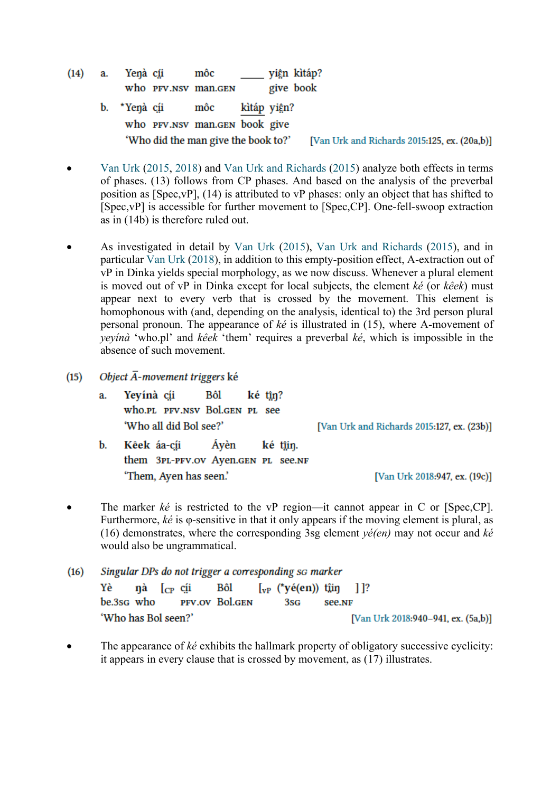$(14)$ yiện kìtáp? a. Yenà c<u>íi</u> môc give book who PFV.NSV man.GEN b. \*Yenà cíi môc kìtáp yiện?

- who PFV.NSV man.GEN book give 'Who did the man give the book to?' [Van Urk and Richards 2015:125, ex. (20a,b)]
- Van Urk (2015, 2018) and Van Urk and Richards (2015) analyze both effects in terms of phases. (13) follows from CP phases. And based on the analysis of the preverbal position as [Spec,vP], (14) is attributed to vP phases: only an object that has shifted to [Spec,vP] is accessible for further movement to [Spec,CP]. One-fell-swoop extraction as in (14b) is therefore ruled out.
- As investigated in detail by Van Urk (2015), Van Urk and Richards (2015), and in particular Van Urk (2018), in addition to this empty-position effect, A-extraction out of vP in Dinka yields special morphology, as we now discuss. Whenever a plural element is moved out of vP in Dinka except for local subjects, the element *ké* (or *kêek*) must appear next to every verb that is crossed by the movement. This element is homophonous with (and, depending on the analysis, identical to) the 3rd person plural personal pronoun. The appearance of *ké* is illustrated in (15), where A-movement of *yeyínà* 'who.pl' and *kêek* 'them' requires a preverbal *ké*, which is impossible in the absence of such movement.
- Object  $\overline{A}$ -movement triggers ké  $(15)$ 
	- a. Yeyínà cíi Bôl ké tîn? who.pl PFV.NSV Bol.GEN PL see 'Who all did Bol see?'

[Van Urk and Richards 2015:127, ex. (23b)]

Kêek áa-cíi b. Avèn ké tîin. them 3PL-PFV.OV Ayen.GEN PL See.NF 'Them, Ayen has seen.'

[Van Urk 2018:947, ex. (19c)]

The marker *ké* is restricted to the vP region—it cannot appear in C or [Spec,CP]. Furthermore, *ké* is φ-sensitive in that it only appears if the moving element is plural, as (16) demonstrates, where the corresponding 3sg element *yé(en)* may not occur and *ké* would also be ungrammatical.

 $(16)$ Singular DPs do not trigger a corresponding so marker **Bôl** Yè nà  $\Gamma_{CP}$  cii  $\int_{\mathbf{v} \cdot \mathbf{P}}$  (\*yé(en)) tîin  $1$ ]? be.3sg who PFV.OV Bol.GEN 3sG see.NF 'Who has Bol seen?' [Van Urk 2018:940-941, ex. (5a,b)]

• The appearance of *ké* exhibits the hallmark property of obligatory successive cyclicity: it appears in every clause that is crossed by movement, as (17) illustrates.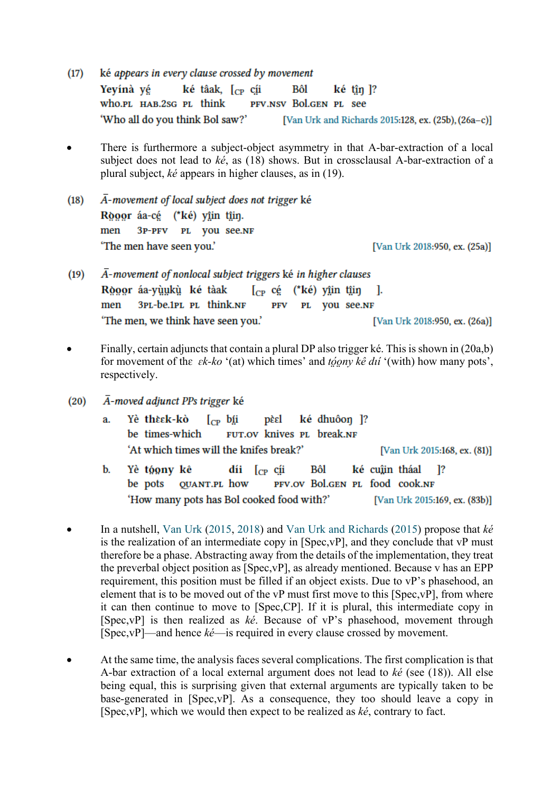ké appears in every clause crossed by movement  $(17)$ Yeyínà yé ké tâak, [cp cíi Bôl ké tîn ]? who.pl HAB.2sG PL think PFV.NSV Bol.GEN PL see 'Who all do you think Bol saw?' [Van Urk and Richards 2015:128, ex. (25b), (26a-c)]

- There is furthermore a subject-object asymmetry in that A-bar-extraction of a local subject does not lead to *ké*, as (18) shows. But in crossclausal A-bar-extraction of a plural subject, *ké* appears in higher clauses, as in (19).
- $\overline{A}$ -movement of local subject does not trigger ké  $(18)$ Rooor áa-cé (\*ké) yîin tîin. men 3P-PFV PL VOU See.NF 'The men have seen you.' [Van Urk 2018:950, ex. (25a)]
- $\overline{A}$ -movement of nonlocal subject triggers ké in higher clauses  $(19)$ Ròoor áa-yùukù ké tàak  $\int_{CP}$  cé (\*ké) yîin tîin - 1. men 3PL-be.1PL PL think.NF PFV PL VOU See.NF 'The men, we think have seen you.' [Van Urk 2018:950, ex. (26a)]
- Finally, certain adjuncts that contain a plural DP also trigger ké. This is shown in (20a,b) for movement of thɛ *ɛk-ko* '(at) which times' and *tó̤o̤ny kê dıí* '(with) how many pots', respectively.
- $\overline{A}$ -moved adjunct PPs trigger ké  $(20)$ 
	- Yè thèsk-kò ké dhuôon 1? a.  $\int_{CP}$  bii pèel be times-which FUT.OV knives PL break.NF 'At which times will the knifes break?' [Van Urk 2015:168, ex. (81)]
	- $\mathbf{b}$ . Yè tóony kê  $\operatorname{dii}$   $\int_{CP}$   $\operatorname{cii}$ Bôl ké cuîin tháal 1? be pots **QUANT.PL how** PFV.OV Bol.GEN PL food cook.NF 'How many pots has Bol cooked food with?' [Van Urk 2015:169, ex. (83b)]
- In a nutshell, Van Urk (2015, 2018) and Van Urk and Richards (2015) propose that *ké* is the realization of an intermediate copy in [Spec,vP], and they conclude that vP must therefore be a phase. Abstracting away from the details of the implementation, they treat the preverbal object position as [Spec,vP], as already mentioned. Because v has an EPP requirement, this position must be filled if an object exists. Due to vP's phasehood, an element that is to be moved out of the vP must first move to this [Spec,vP], from where it can then continue to move to [Spec,CP]. If it is plural, this intermediate copy in [Spec,vP] is then realized as *ké*. Because of vP's phasehood, movement through [Spec,vP]—and hence *ké*—is required in every clause crossed by movement.
- At the same time, the analysis faces several complications. The first complication is that A-bar extraction of a local external argument does not lead to *ké* (see (18)). All else being equal, this is surprising given that external arguments are typically taken to be base-generated in [Spec,vP]. As a consequence, they too should leave a copy in [Spec,vP], which we would then expect to be realized as *ké*, contrary to fact.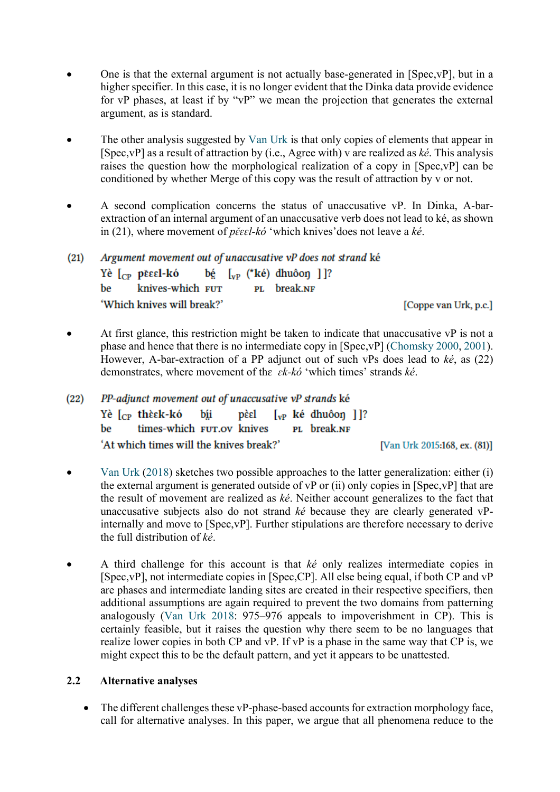- One is that the external argument is not actually base-generated in [Spec,vP], but in a higher specifier. In this case, it is no longer evident that the Dinka data provide evidence for vP phases, at least if by "vP" we mean the projection that generates the external argument, as is standard.
- The other analysis suggested by Van Urk is that only copies of elements that appear in [Spec,vP] as a result of attraction by (i.e., Agree with) v are realized as *ké*. This analysis raises the question how the morphological realization of a copy in [Spec,vP] can be conditioned by whether Merge of this copy was the result of attraction by v or not.
- A second complication concerns the status of unaccusative vP. In Dinka, A-barextraction of an internal argument of an unaccusative verb does not lead to ké, as shown in (21), where movement of *pɛ̌ɛɛl-kó* 'which knives'does not leave a *ké*.

| (21) | Argument movement out of unaccusative vP does not strand ké |                                                                     |  |                       |  |  |  |  |  |  |  |  |  |  |
|------|-------------------------------------------------------------|---------------------------------------------------------------------|--|-----------------------|--|--|--|--|--|--|--|--|--|--|
|      |                                                             | Yè $\lceil_{CP}$ pěsel-kó bé $\lceil_{VP}$ (*ké) dhuôon $\rceil$ ]? |  |                       |  |  |  |  |  |  |  |  |  |  |
|      |                                                             | be knives-which FUT PL break.NF                                     |  |                       |  |  |  |  |  |  |  |  |  |  |
|      |                                                             | 'Which knives will break?'                                          |  | [Coppe van Urk, p.c.] |  |  |  |  |  |  |  |  |  |  |

- At first glance, this restriction might be taken to indicate that unaccusative  $vP$  is not a phase and hence that there is no intermediate copy in [Spec,vP] (Chomsky 2000, 2001). However, A-bar-extraction of a PP adjunct out of such vPs does lead to *ké*, as (22) demonstrates, where movement of thɛ *ɛk-kó* 'which times' strands *ké*.
- $(22)$ PP-adjunct movement out of unaccusative vP strands ké Yè  $[<sub>CP</sub>$  thèεk-kó  $\begin{bmatrix} v_P & k\acute{e} & dhu\hat{o} & \\ wP & k\acute{e} & dhu\hat{o} & \\ wP & wP & wP & \\ wP & wP & wP & \\ wP & wP & wP & \\ wP & wP & wP & \\ wP & wP & wP & \\ wP & wP & wP & \\ wP & wP & wP & \\ wP & wP & wP & \\ wP & wP & wP & \\ wP & wP & wP & \\ wP & wP & wP & \\ wP & wP & wP & \\ wP & wP & wP & \\ wP & wP & wP & \\ wP & wP & wP & \\ wP & wP & wP & \\ wP & wP & wP & \\ wP & wP & wP$ bíi pèel PL break.NF times-which FUT.OV knives be 'At which times will the knives break?' [Van Urk 2015:168, ex. (81)]
- Van Urk (2018) sketches two possible approaches to the latter generalization: either (i) the external argument is generated outside of vP or (ii) only copies in [Spec,vP] that are the result of movement are realized as *ké*. Neither account generalizes to the fact that unaccusative subjects also do not strand *ké* because they are clearly generated vPinternally and move to [Spec,vP]. Further stipulations are therefore necessary to derive the full distribution of *ké*.
- A third challenge for this account is that *ké* only realizes intermediate copies in [Spec,vP], not intermediate copies in [Spec,CP]. All else being equal, if both CP and vP are phases and intermediate landing sites are created in their respective specifiers, then additional assumptions are again required to prevent the two domains from patterning analogously (Van Urk 2018: 975–976 appeals to impoverishment in CP). This is certainly feasible, but it raises the question why there seem to be no languages that realize lower copies in both CP and vP. If vP is a phase in the same way that CP is, we might expect this to be the default pattern, and yet it appears to be unattested.

### **2.2 Alternative analyses**

• The different challenges these vP-phase-based accounts for extraction morphology face, call for alternative analyses. In this paper, we argue that all phenomena reduce to the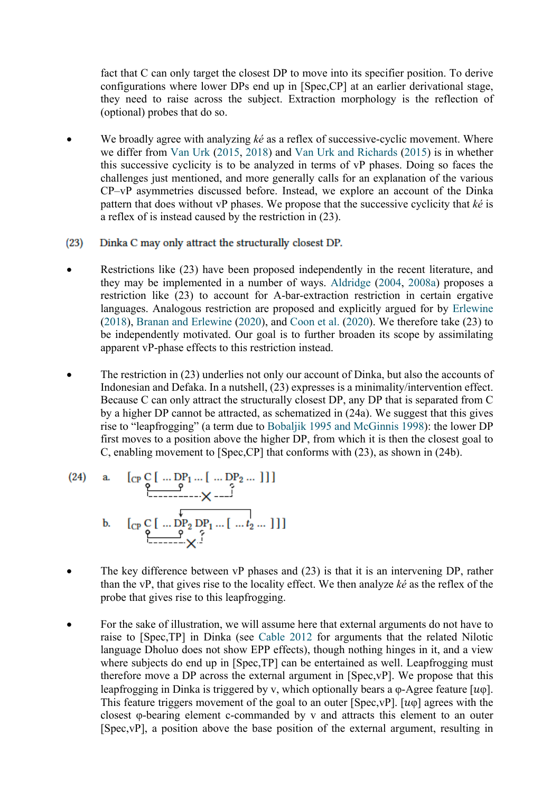fact that C can only target the closest DP to move into its specifier position. To derive configurations where lower DPs end up in [Spec,CP] at an earlier derivational stage, they need to raise across the subject. Extraction morphology is the reflection of (optional) probes that do so.

- We broadly agree with analyzing *ké* as a reflex of successive-cyclic movement. Where we differ from Van Urk (2015, 2018) and Van Urk and Richards (2015) is in whether this successive cyclicity is to be analyzed in terms of vP phases. Doing so faces the challenges just mentioned, and more generally calls for an explanation of the various CP–vP asymmetries discussed before. Instead, we explore an account of the Dinka pattern that does without vP phases. We propose that the successive cyclicity that *ké* is a reflex of is instead caused by the restriction in (23).
- $(23)$ Dinka C may only attract the structurally closest DP.
- Restrictions like (23) have been proposed independently in the recent literature, and they may be implemented in a number of ways. Aldridge (2004, 2008a) proposes a restriction like (23) to account for A-bar-extraction restriction in certain ergative languages. Analogous restriction are proposed and explicitly argued for by Erlewine (2018), Branan and Erlewine (2020), and Coon et al. (2020). We therefore take (23) to be independently motivated. Our goal is to further broaden its scope by assimilating apparent vP-phase effects to this restriction instead.
- The restriction in (23) underlies not only our account of Dinka, but also the accounts of Indonesian and Defaka. In a nutshell, (23) expresses is a minimality/intervention effect. Because C can only attract the structurally closest DP, any DP that is separated from C by a higher DP cannot be attracted, as schematized in (24a). We suggest that this gives rise to "leapfrogging" (a term due to Bobaljik 1995 and McGinnis 1998): the lower DP first moves to a position above the higher DP, from which it is then the closest goal to C, enabling movement to [Spec,CP] that conforms with (23), as shown in (24b).

(24) a. 
$$
\left[\begin{array}{c}C_{P} C \end{array}\right[ \dots DP_{1} \dots \begin{bmatrix} \dots DP_{2} \dots \end{bmatrix}
$$
]\nb.  $\left[\begin{array}{c}C_{P} C \end{array}\right[ \dots \begin{array}{c}C_{P_{2}} \text{D} P_{1} \dots \begin{bmatrix} \dots \end{array}\right]$ ]\n $\rightarrow$ 

- The key difference between  $VP$  phases and  $(23)$  is that it is an intervening DP, rather than the vP, that gives rise to the locality effect. We then analyze *ké* as the reflex of the probe that gives rise to this leapfrogging.
- For the sake of illustration, we will assume here that external arguments do not have to raise to [Spec,TP] in Dinka (see Cable 2012 for arguments that the related Nilotic language Dholuo does not show EPP effects), though nothing hinges in it, and a view where subjects do end up in [Spec,TP] can be entertained as well. Leapfrogging must therefore move a DP across the external argument in [Spec,vP]. We propose that this leapfrogging in Dinka is triggered by v, which optionally bears a  $\varphi$ -Agree feature [ $u\varphi$ ]. This feature triggers movement of the goal to an outer [Spec, vP].  $[u\varphi]$  agrees with the closest φ-bearing element c-commanded by v and attracts this element to an outer [Spec,vP], a position above the base position of the external argument, resulting in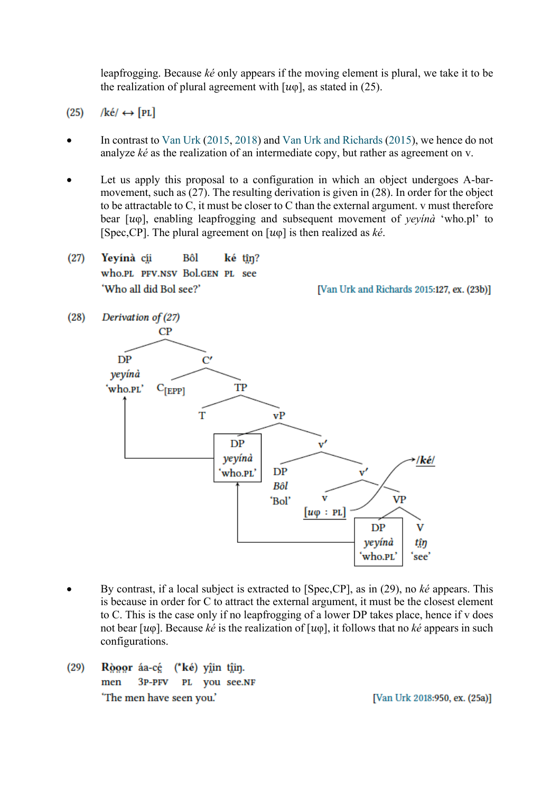leapfrogging. Because *ké* only appears if the moving element is plural, we take it to be the realization of plural agreement with  $[u\varphi]$ , as stated in (25).

/ké/  $\leftrightarrow$  [PL]  $(25)$ 

 $(28)$ 

- In contrast to Van Urk (2015, 2018) and Van Urk and Richards (2015), we hence do not analyze *ké* as the realization of an intermediate copy, but rather as agreement on v.
- Let us apply this proposal to a configuration in which an object undergoes A-barmovement, such as (27). The resulting derivation is given in (28). In order for the object to be attractable to C, it must be closer to C than the external argument. v must therefore bear [φ], enabling leapfrogging and subsequent movement of *yeyínà* 'who.pl' to [Spec,CP]. The plural agreement on [φ] is then realized as *ké*.
- $(27)$ Yevinà cii Bôl ké tîn? who.PL PFV.NSV Bol.GEN PL see 'Who all did Bol see?'

[Van Urk and Richards 2015:127, ex. (23b)]

- Derivation of (27)  $CP$  $DP$  $\mathcal{C}'$ yeyínà 'who.PL' TP  $C_{[EPP]}$ T  $vP$ DP yeyínà /ké/  $DP$ who.PL'  $\mathbf{v}'$ Bôl VP 'Bol'  $[u\varphi : PL]$ V  $DP$ yeyínà tŷŋ who.PL' 'see'
- By contrast, if a local subject is extracted to [Spec,CP], as in (29), no *ké* appears. This is because in order for C to attract the external argument, it must be the closest element to C. This is the case only if no leapfrogging of a lower DP takes place, hence if v does not bear  $[u\varphi]$ . Because *ké* is the realization of  $[u\varphi]$ , it follows that no *ké* appears in such configurations.
- $(29)$ Ròoor áa-cé (\*ké) yîin tîin. men  $3P-PFV$ PL you see.NF 'The men have seen you.'

[Van Urk 2018:950, ex. (25a)]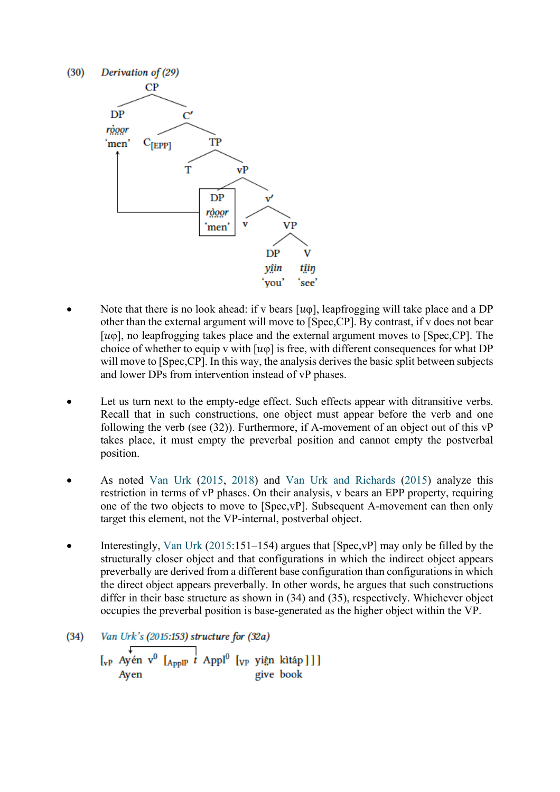

- Note that there is no look ahead: if v bears  $[u\varphi]$ , leapfrogging will take place and a DP other than the external argument will move to [Spec,CP]. By contrast, if v does not bear [ $u\varphi$ ], no leapfrogging takes place and the external argument moves to [Spec, CP]. The choice of whether to equip v with  $[u\varphi]$  is free, with different consequences for what DP will move to [Spec,CP]. In this way, the analysis derives the basic split between subjects and lower DPs from intervention instead of vP phases.
- Let us turn next to the empty-edge effect. Such effects appear with ditransitive verbs. Recall that in such constructions, one object must appear before the verb and one following the verb (see (32)). Furthermore, if A-movement of an object out of this vP takes place, it must empty the preverbal position and cannot empty the postverbal position.
- As noted Van Urk (2015, 2018) and Van Urk and Richards (2015) analyze this restriction in terms of vP phases. On their analysis, v bears an EPP property, requiring one of the two objects to move to [Spec,vP]. Subsequent A-movement can then only target this element, not the VP-internal, postverbal object.
- Interestingly, Van Urk (2015:151–154) argues that [Spec, vP] may only be filled by the structurally closer object and that configurations in which the indirect object appears preverbally are derived from a different base configuration than configurations in which the direct object appears preverbally. In other words, he argues that such constructions differ in their base structure as shown in (34) and (35), respectively. Whichever object occupies the preverbal position is base-generated as the higher object within the VP.
- Van Urk's (2015:153) structure for (32a)  $(34)$  $\begin{bmatrix} \sqrt{\vphantom{a}} & 0 & \sqrt{\vphantom{a}} \\ \sqrt{\vphantom{a}} & \sqrt{\vphantom{a}} & \sqrt{\vphantom{a}} \\ \sqrt{\vphantom{a}} & \sqrt{\vphantom{a}} & \sqrt{\vphantom{a}} \end{bmatrix}$  (vp yiện kìtáp]]] give book Ayen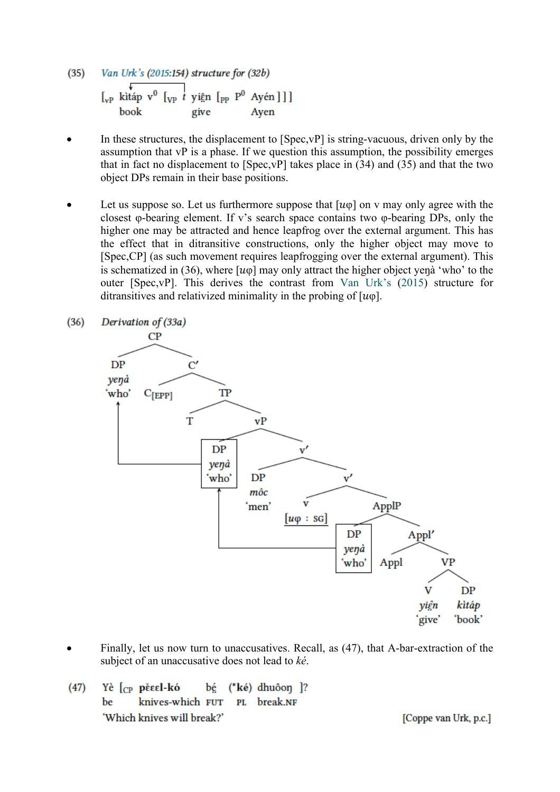- $(35)$ Van Urk's (2015:154) structure for (32b)  $\begin{bmatrix} \downarrow \\ v_P \downarrow \end{bmatrix}$  v<sup>0</sup>  $\begin{bmatrix} \downarrow \\ v_P \downarrow \end{bmatrix}$  yiện  $\begin{bmatrix} \rho_P & P^0 & Ay \end{bmatrix}$  [ book give Aven
- In these structures, the displacement to [Spec, vP] is string-vacuous, driven only by the assumption that vP is a phase. If we question this assumption, the possibility emerges that in fact no displacement to  $[Spec, vP]$  takes place in (34) and (35) and that the two object DPs remain in their base positions.
- Let us suppose so. Let us furthermore suppose that  $[u\varphi]$  on v may only agree with the closest φ-bearing element. If v's search space contains two φ-bearing DPs, only the higher one may be attracted and hence leapfrog over the external argument. This has the effect that in ditransitive constructions, only the higher object may move to [Spec,CP] (as such movement requires leapfrogging over the external argument). This is schematized in (36), where  $[u\varphi]$  may only attract the higher object yenà 'who' to the outer [Spec,vP]. This derives the contrast from Van Urk's (2015) structure for ditransitives and relativized minimality in the probing of  $[w\varphi]$ .



- Finally, let us now turn to unaccusatives. Recall, as (47), that A-bar-extraction of the subject of an unaccusative does not lead to *ké*.
- Υè l<sub>CP</sub> pěεεl-kó  $(47)$ bé  $(*k\acute{e})$  dhuôon  $?$ knives-which FUT PL break.NF be 'Which knives will break?'

[Coppe van Urk, p.c.]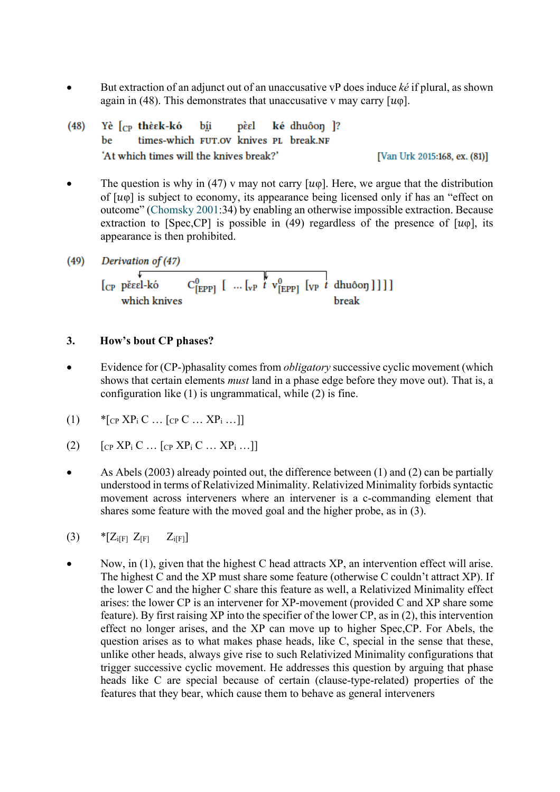- But extraction of an adjunct out of an unaccusative vP does induce *ké* if plural, as shown again in (48). This demonstrates that unaccusative v may carry  $[u\varphi]$ .
- ké dhuôon ]?  $(48)$ Yè l<sub>CP</sub> thèsk-kó bíi pèel times-which FUT.OV knives PL break.NF be 'At which times will the knives break?' [Van Urk 2015:168, ex. (81)]
- The question is why in (47) v may not carry  $[u\varphi]$ . Here, we argue that the distribution of  $[u\varphi]$  is subject to economy, its appearance being licensed only if has an "effect on outcome" (Chomsky 2001:34) by enabling an otherwise impossible extraction. Because extraction to [Spec, CP] is possible in (49) regardless of the presence of  $[u\varphi]$ , its appearance is then prohibited.
- $(49)$ Derivation of (47)

$$
\begin{array}{c}\n\downarrow \\
[\text{CP} \text{pěeel-kó} \\
\downarrow \text{which knives}\n\end{array}\n\quad\n\begin{array}{c}\nC_{\text{[EPP]}}^0 \left[ \dots \left[ \text{VP} \right]^t \mathbf{v}_{\text{[EPP]}}^0 \left[ \text{VP} \right]^t \text{dhuôon} \right] ] ]\n\end{array}
$$

# **3. How's bout CP phases?**

- Evidence for (CP-)phasality comes from *obligatory* successive cyclic movement (which shows that certain elements *must* land in a phase edge before they move out). That is, a configuration like (1) is ungrammatical, while (2) is fine.
- (1)  $*_{[CP} XP_i C ... [CP C ... XP_i ...]$
- (2)  $[CP XP_i C ... [CP XP_i C ... XP_i ...]]$
- As Abels (2003) already pointed out, the difference between (1) and (2) can be partially understood in terms of Relativized Minimality. Relativized Minimality forbids syntactic movement across interveners where an intervener is a c-commanding element that shares some feature with the moved goal and the higher probe, as in (3).
- (3)  $*Z_{i[F]}Z_{F]}Z_{i[F]}Z_{i[F]}$
- Now, in (1), given that the highest C head attracts XP, an intervention effect will arise. The highest C and the XP must share some feature (otherwise C couldn't attract XP). If the lower C and the higher C share this feature as well, a Relativized Minimality effect arises: the lower CP is an intervener for XP-movement (provided C and XP share some feature). By first raising XP into the specifier of the lower CP, as in (2), this intervention effect no longer arises, and the XP can move up to higher Spec,CP. For Abels, the question arises as to what makes phase heads, like C, special in the sense that these, unlike other heads, always give rise to such Relativized Minimality configurations that trigger successive cyclic movement. He addresses this question by arguing that phase heads like C are special because of certain (clause-type-related) properties of the features that they bear, which cause them to behave as general interveners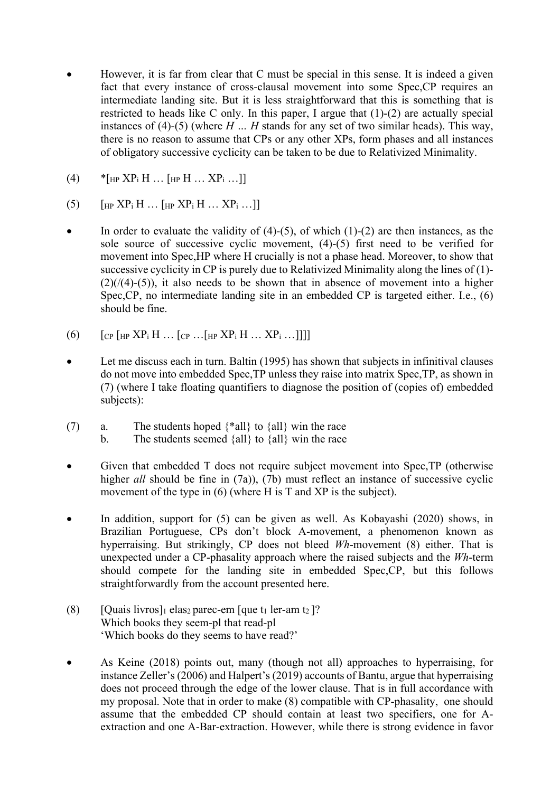- However, it is far from clear that C must be special in this sense. It is indeed a given fact that every instance of cross-clausal movement into some Spec,CP requires an intermediate landing site. But it is less straightforward that this is something that is restricted to heads like C only. In this paper, I argue that (1)-(2) are actually special instances of (4)-(5) (where *H … H* stands for any set of two similar heads). This way, there is no reason to assume that CPs or any other XPs, form phases and all instances of obligatory successive cyclicity can be taken to be due to Relativized Minimality.
- $(4)$  \* [<sub>HP</sub> XP<sub>i</sub> H … [<sub>HP</sub> H … XP<sub>i</sub> …]]
- (5)  $\left[\text{HP }XP_{i} H ...\right]$   $\left[\text{HP }XP_{i} H ...\right]$   $\times$   $\left[\text{HP }XP_{i} H ...\right]$
- In order to evaluate the validity of  $(4)-(5)$ , of which  $(1)-(2)$  are then instances, as the sole source of successive cyclic movement, (4)-(5) first need to be verified for movement into Spec,HP where H crucially is not a phase head. Moreover, to show that successive cyclicity in CP is purely due to Relativized Minimality along the lines of (1)-  $(2)/(4)-(5)$ , it also needs to be shown that in absence of movement into a higher Spec,CP, no intermediate landing site in an embedded CP is targeted either. I.e., (6) should be fine.
- (6)  $\left[$   $\left[$   $\left[$   $\left[$   $\left[$   $\left[$   $\right]$   $\left[$   $\right]$   $\left[$   $\left[$   $\right]$   $\left[$   $\left[$   $\right]$   $\left[$   $\left[$   $\left[$   $\left[$   $\right]$   $\left[$   $\left[$   $\left[$   $\right]$   $\left[$   $\left[$   $\left[$   $\left[$   $\right]$   $\left[$   $\left[$   $\left[$   $\left[$   $\left[$   $\right]$   $\left[$
- Let me discuss each in turn. Baltin (1995) has shown that subjects in infinitival clauses do not move into embedded Spec,TP unless they raise into matrix Spec,TP, as shown in (7) (where I take floating quantifiers to diagnose the position of (copies of) embedded subjects):
- (7) a. The students hoped  $\{\text{*all}\}$  to  $\{\text{all}\}$  win the race b. The students seemed  ${all}$  to  ${all}$  win the race
- Given that embedded T does not require subject movement into Spec,TP (otherwise higher *all* should be fine in (7a)), (7b) must reflect an instance of successive cyclic movement of the type in (6) (where H is T and XP is the subject).
- In addition, support for (5) can be given as well. As Kobayashi (2020) shows, in Brazilian Portuguese, CPs don't block A-movement, a phenomenon known as hyperraising. But strikingly, CP does not bleed *Wh*-movement (8) either. That is unexpected under a CP-phasality approach where the raised subjects and the *Wh*-term should compete for the landing site in embedded Spec,CP, but this follows straightforwardly from the account presented here.
- (8) [Quais livros]<sub>1</sub> elas<sub>2</sub> parec-em [que t<sub>1</sub> ler-am t<sub>2</sub>]? Which books they seem-pl that read-pl 'Which books do they seems to have read?'
- As Keine (2018) points out, many (though not all) approaches to hyperraising, for instance Zeller's (2006) and Halpert's (2019) accounts of Bantu, argue that hyperraising does not proceed through the edge of the lower clause. That is in full accordance with my proposal. Note that in order to make (8) compatible with CP-phasality, one should assume that the embedded CP should contain at least two specifiers, one for Aextraction and one A-Bar-extraction. However, while there is strong evidence in favor